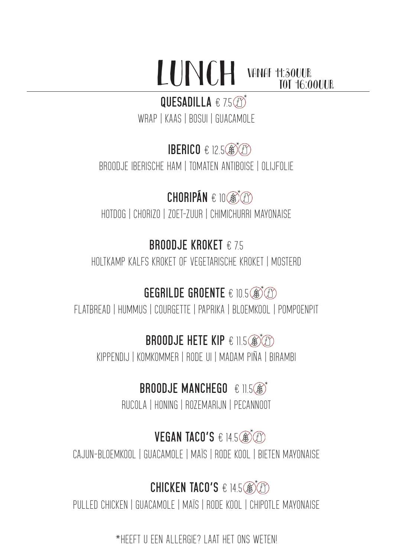#### LUNCH vanaf 11:30UUR tot 16:00UUR

## QUESADILLA € 7.5**th**

WRAP | KAAS | BOSUI | GUACAMOLE

# **IBERICO € 12.5**

BROODJE IBERISCHE HAM | TOMATEN ANTIBOISE | OLIJFOLIE

# $CHORIPÁN \in 10$

HOTDOG | CHORIZO | ZOET-ZUUR | CHIMICHURRI MAYONAISE

# **BROODJE KROKET** € 7.5

HOLTKAMP KALFS KROKET OF VEGETARISCHE KROKET | MOSTERD

## **GEGRILDE GROENTE** € 10.5

FLATBREAD | HUMMUS | COURGETTE | PAPRIKA | BLOEMKOOL | POMPOENPIT

## **BROODJE HETE KIP € 11.5**

KIPPENDIJ | KOMKOMMER | RODE UI | MADAM PIÑA | BIRAMBI

# **BROODJE MANCHEGO € 11.5®\***

RUCOLA | HONING | ROZEMARIJN | PECANNOOT

## **VEGAN TACO'S € 14.5**

CAJUN-BLOEMKOOL | GUACAMOLE | MAÏS | RODE KOOL | BIETEN MAYONAISE

### **CHICKEN TACO'S € 14.5 3**

PULLED CHICKEN | GUACAMOLE | MAÏS | RODE KOOL | CHIPOTLE MAYONAISE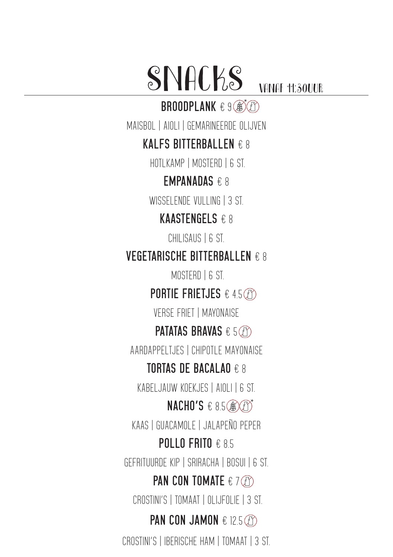# SNACKS VANAF 11:30UUR

**BROODPLANK** € 9 3

MAISBOL | AIOLI | GEMARINEERDE OLIJVEN

#### **KALFS BITTERBALLEN** € 8

HOTLKAMP | MOSTERD | 6 ST.

#### **EMPANADAS** € 8

WISSELENDE VIII LING | 3 ST.

#### **KAASTENGELS** € 8

CHILISAUS | 6 ST.

#### **VEGETARISCHE BITTERBALLEN** € 8

MOSTERD | 6 ST.

**PORTIE FRIETJES** € 4.5

VERSE FRIET | MAYONAISE

#### **PATATAS BRAVAS** € 5

AARDAPPELTJES | CHIPOTLE MAYONAISE

#### **TORTAS DE BACALAO** € 8

KABELJAUW KOEKJES | AIOLI | 6 ST.

#### **NACHO'S** € 8.5 **@***O*

KAAS | GUACAMOLE | JALAPEÑO PEPER

#### **POLLO FRITO** € 8.5

GEFRITUURDE KIP | SRIRACHA | BOSUI | 6 ST.

#### **PAN CON TOMATE** € 7 *C*O

CROSTINI'S | TOMAAT | OLIJFOLIE | 3 ST.

#### **PAN CON JAMON € 12.5** *C***O**

CROSTINI'S | IBERISCHE HAM | TOMAAT | 3 ST.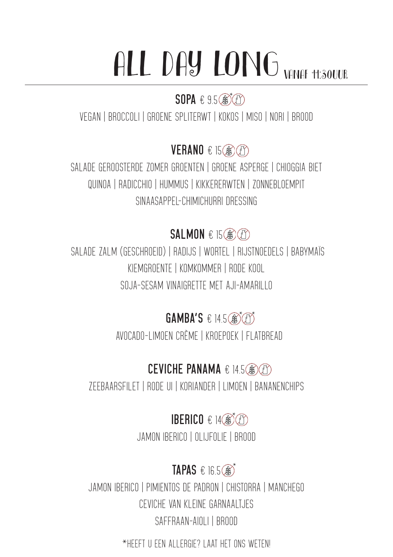# ALL DAY LONG VANAF 11:30UUR

## **SOPA** € 9.5 3

VEGAN | BROCCOLI | GROENE SPLITERWT | KOKOS | MISO | NORI | BROOD

# **VERANO** € 15

SALADE GEROOSTERDE ZOMER GROENTEN | GROENE ASPERGE | CHIOGGIA BIET QUINOA | RADICCHIO | HUMMUS | KIKKERERWTEN | ZONNEBLOEMPIT SINAASAPPEL-CHIMICHURRI DRESSING

## **SALMON** € 15

 SALADE ZALM (GESCHROEID) | RADIJS | WORTEL | RIJSTNOEDELS | BABYMAÏS KIEMGROENTE | KOMKOMMER | RODE KOOL SOJA-SESAM VINAIGRETTE MET AJI-AMARILLO

# GAMBA'S € 14.5<sup>3</sup>

AVOCADO-LIMOEN CRÈME | KROEPOEK | FLATBREAD

## **CEVICHE PANAMA** € 14.5

ZEEBAARSFILET | RODE UI | KORIANDER | LIMOEN | BANANENCHIPS

## **IBERICO € 14®**

JAMON IBERICO | OLIJFOLIE | BROOD

# **TAPAS € 16.5 3**

JAMON IBERICO | PIMIENTOS DE PADRON | CHISTORRA | MANCHEGO CEVICHE VAN KLEINE GARNAALTJES SAFFRAAN-AIOLI | BROOD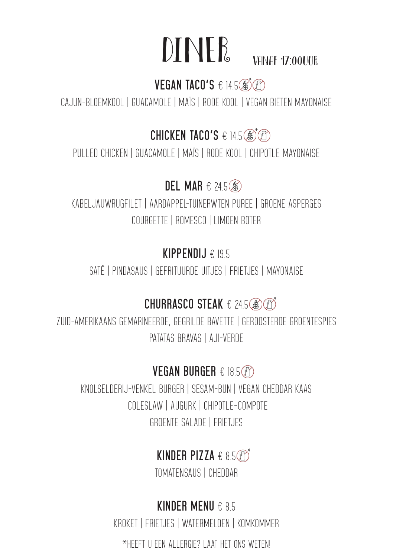# DINER VANAF 17:00UUR

## **VEGAN TACO'S € 14.5**

CAJUN-BLOEMKOOL | GUACAMOLE | MAÏS | RODE KOOL | VEGAN BIETEN MAYONAISE

### **CHICKEN TACO'S € 14.5 ®**

PULLED CHICKEN | GUACAMOLE | MAÏS | RODE KOOL | CHIPOTLE MAYONAISE

## **DEL MAR** € 24.5

KABELJAUWRUGFILET | AARDAPPEL-TUINERWTEN PUREE | GROENE ASPERGES COURGETTE | ROMESCO | LIMOEN BOTER

### **KIPPENDIJ** € 19.5

SATÉ | PINDASAUS | GEFRITUURDE UITJES | FRIETJES | MAYONAISE

### **CHURRASCO STEAK € 24.5 8 3**

ZUID-AMERIKAANS GEMARINEERDE, GEGRILDE BAVETTE | GEROOSTERDE GROENTESPIES PATATAS BRAVAS | AJI-VERDE

#### **VEGAN BURGER** € 18.5

KNOLSELDERIJ-VENKEL BURGER | SESAM-BUN | VEGAN CHEDDAR KAAS COLESLAW | AUGURK | CHIPOTLE-COMPOTE GROENTE SALADE | FRIETJES

## **KINDER PIZZA**  $\epsilon$  8.5 $\textcircled{f}$

TOMATENSAUS | CHEDDAR

## **KINDER MENU** € 8.5

KROKET | FRIETJES | WATERMELOEN | KOMKOMMER